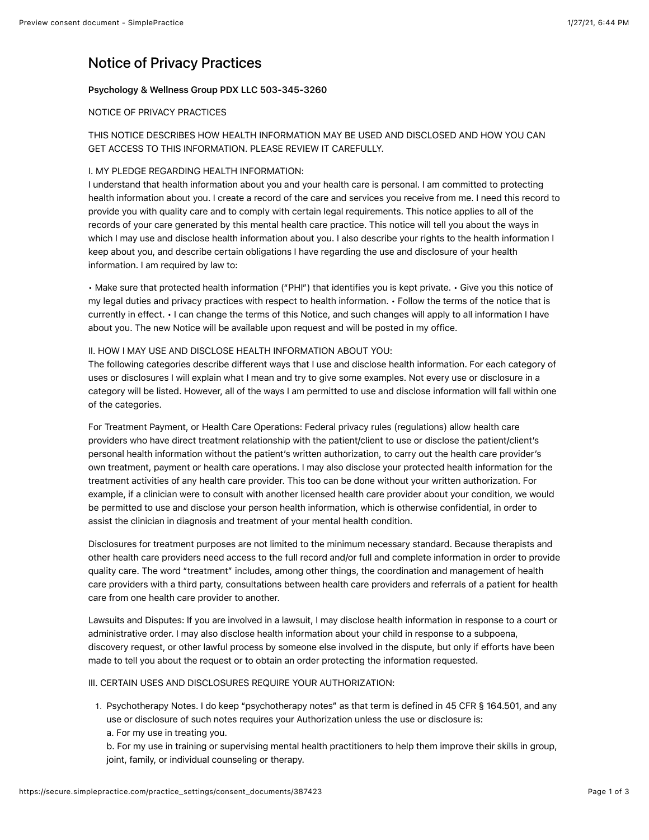# Notice of Privacy Practices

# Psychology & Wellness Group PDX LLC 503-345-3260

# NOTICE OF PRIVACY PRACTICES

# THIS NOTICE DESCRIBES HOW HEALTH INFORMATION MAY BE USED AND DISCLOSED AND HOW YOU CAN GET ACCESS TO THIS INFORMATION. PLEASE REVIEW IT CAREFULLY.

# I. MY PLEDGE REGARDING HEALTH INFORMATION:

I understand that health information about you and your health care is personal. I am committed to protecting health information about you. I create a record of the care and services you receive from me. I need this record to provide you with quality care and to comply with certain legal requirements. This notice applies to all of the records of your care generated by this mental health care practice. This notice will tell you about the ways in which I may use and disclose health information about you. I also describe your rights to the health information I keep about you, and describe certain obligations I have regarding the use and disclosure of your health information. I am required by law to:

• Make sure that protected health information ("PHI") that identifies you is kept private. • Give you this notice of my legal duties and privacy practices with respect to health information. • Follow the terms of the notice that is currently in effect. • I can change the terms of this Notice, and such changes will apply to all information I have about you. The new Notice will be available upon request and will be posted in my office.

### II. HOW I MAY USE AND DISCLOSE HEALTH INFORMATION ABOUT YOU:

The following categories describe different ways that I use and disclose health information. For each category of uses or disclosures I will explain what I mean and try to give some examples. Not every use or disclosure in a category will be listed. However, all of the ways I am permitted to use and disclose information will fall within one of the categories.

For Treatment Payment, or Health Care Operations: Federal privacy rules (regulations) allow health care providers who have direct treatment relationship with the patient/client to use or disclose the patient/client's personal health information without the patient's written authorization, to carry out the health care provider's own treatment, payment or health care operations. I may also disclose your protected health information for the treatment activities of any health care provider. This too can be done without your written authorization. For example, if a clinician were to consult with another licensed health care provider about your condition, we would be permitted to use and disclose your person health information, which is otherwise confidential, in order to assist the clinician in diagnosis and treatment of your mental health condition.

Disclosures for treatment purposes are not limited to the minimum necessary standard. Because therapists and other health care providers need access to the full record and/or full and complete information in order to provide quality care. The word "treatment" includes, among other things, the coordination and management of health care providers with a third party, consultations between health care providers and referrals of a patient for health care from one health care provider to another.

Lawsuits and Disputes: If you are involved in a lawsuit, I may disclose health information in response to a court or administrative order. I may also disclose health information about your child in response to a subpoena, discovery request, or other lawful process by someone else involved in the dispute, but only if efforts have been made to tell you about the request or to obtain an order protecting the information requested.

### III. CERTAIN USES AND DISCLOSURES REQUIRE YOUR AUTHORIZATION:

1. Psychotherapy Notes. I do keep "psychotherapy notes" as that term is defined in 45 CFR § 164.501, and any use or disclosure of such notes requires your Authorization unless the use or disclosure is: a. For my use in treating you.

b. For my use in training or supervising mental health practitioners to help them improve their skills in group, joint, family, or individual counseling or therapy.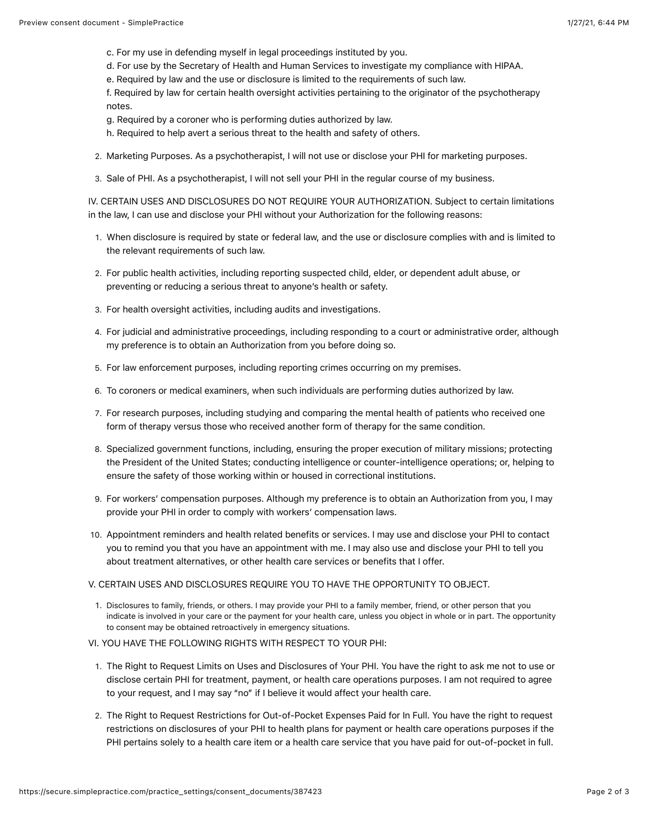- c. For my use in defending myself in legal proceedings instituted by you.
- d. For use by the Secretary of Health and Human Services to investigate my compliance with HIPAA.
- e. Required by law and the use or disclosure is limited to the requirements of such law.

f. Required by law for certain health oversight activities pertaining to the originator of the psychotherapy notes.

- g. Required by a coroner who is performing duties authorized by law.
- h. Required to help avert a serious threat to the health and safety of others.
- 2. Marketing Purposes. As a psychotherapist, I will not use or disclose your PHI for marketing purposes.
- 3. Sale of PHI. As a psychotherapist, I will not sell your PHI in the regular course of my business.

IV. CERTAIN USES AND DISCLOSURES DO NOT REQUIRE YOUR AUTHORIZATION. Subject to certain limitations in the law, I can use and disclose your PHI without your Authorization for the following reasons:

- 1. When disclosure is required by state or federal law, and the use or disclosure complies with and is limited to the relevant requirements of such law.
- 2. For public health activities, including reporting suspected child, elder, or dependent adult abuse, or preventing or reducing a serious threat to anyone's health or safety.
- 3. For health oversight activities, including audits and investigations.
- 4. For judicial and administrative proceedings, including responding to a court or administrative order, although my preference is to obtain an Authorization from you before doing so.
- 5. For law enforcement purposes, including reporting crimes occurring on my premises.
- 6. To coroners or medical examiners, when such individuals are performing duties authorized by law.
- 7. For research purposes, including studying and comparing the mental health of patients who received one form of therapy versus those who received another form of therapy for the same condition.
- 8. Specialized government functions, including, ensuring the proper execution of military missions; protecting the President of the United States; conducting intelligence or counter-intelligence operations; or, helping to ensure the safety of those working within or housed in correctional institutions.
- 9. For workers' compensation purposes. Although my preference is to obtain an Authorization from you, I may provide your PHI in order to comply with workers' compensation laws.
- 10. Appointment reminders and health related benefits or services. I may use and disclose your PHI to contact you to remind you that you have an appointment with me. I may also use and disclose your PHI to tell you about treatment alternatives, or other health care services or benefits that I offer.

### V. CERTAIN USES AND DISCLOSURES REQUIRE YOU TO HAVE THE OPPORTUNITY TO OBJECT.

- 1. Disclosures to family, friends, or others. I may provide your PHI to a family member, friend, or other person that you indicate is involved in your care or the payment for your health care, unless you object in whole or in part. The opportunity to consent may be obtained retroactively in emergency situations.
- VI. YOU HAVE THE FOLLOWING RIGHTS WITH RESPECT TO YOUR PHI:
- 1. The Right to Request Limits on Uses and Disclosures of Your PHI. You have the right to ask me not to use or disclose certain PHI for treatment, payment, or health care operations purposes. I am not required to agree to your request, and I may say "no" if I believe it would affect your health care.
- 2. The Right to Request Restrictions for Out-of-Pocket Expenses Paid for In Full. You have the right to request restrictions on disclosures of your PHI to health plans for payment or health care operations purposes if the PHI pertains solely to a health care item or a health care service that you have paid for out-of-pocket in full.